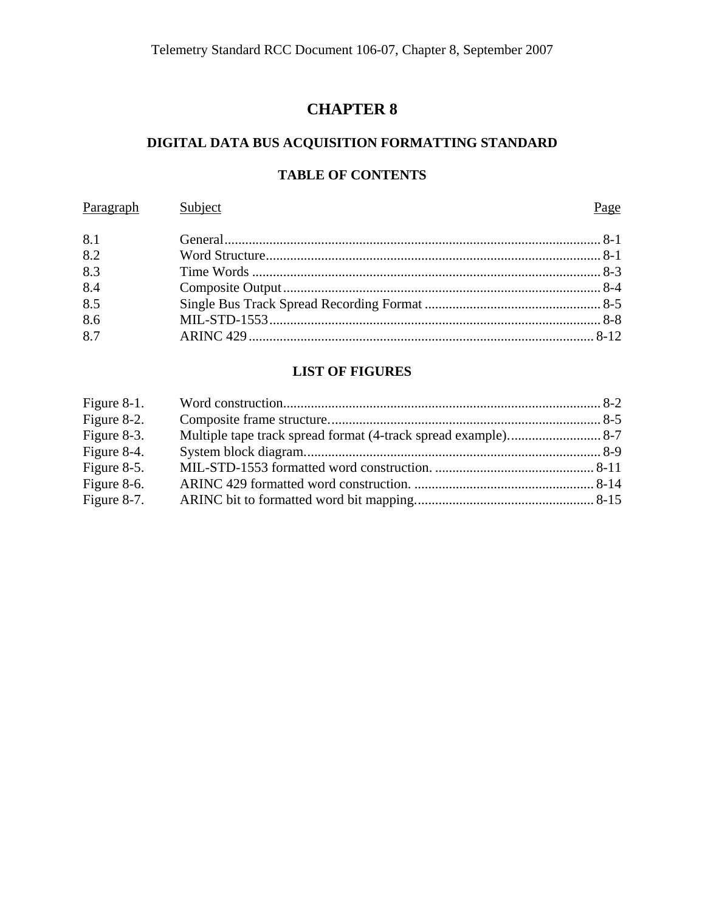# **CHAPTER 8**

# **DIGITAL DATA BUS ACQUISITION FORMATTING STANDARD**

## **TABLE OF CONTENTS**

| Paragraph Subject |  |
|-------------------|--|
| 8.1               |  |
| 8.2               |  |
| 8.3               |  |
| 8.4               |  |
| 8.5               |  |
| 8.6               |  |
| 8.7               |  |

## **LIST OF FIGURES**

| Figure 8-1. |  |
|-------------|--|
| Figure 8-2. |  |
| Figure 8-3. |  |
| Figure 8-4. |  |
| Figure 8-5. |  |
| Figure 8-6. |  |
| Figure 8-7. |  |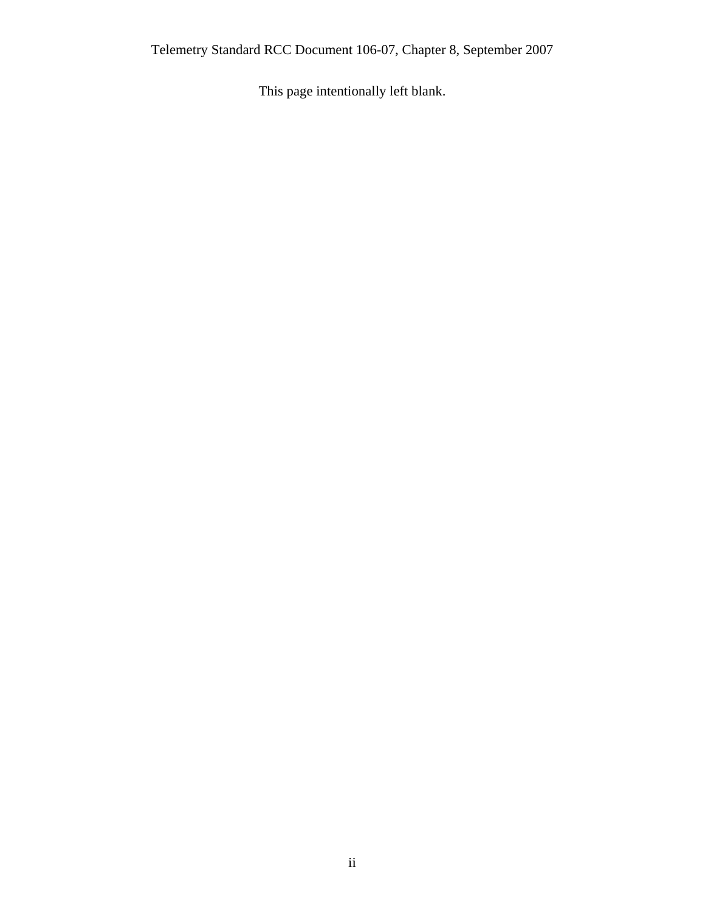This page intentionally left blank.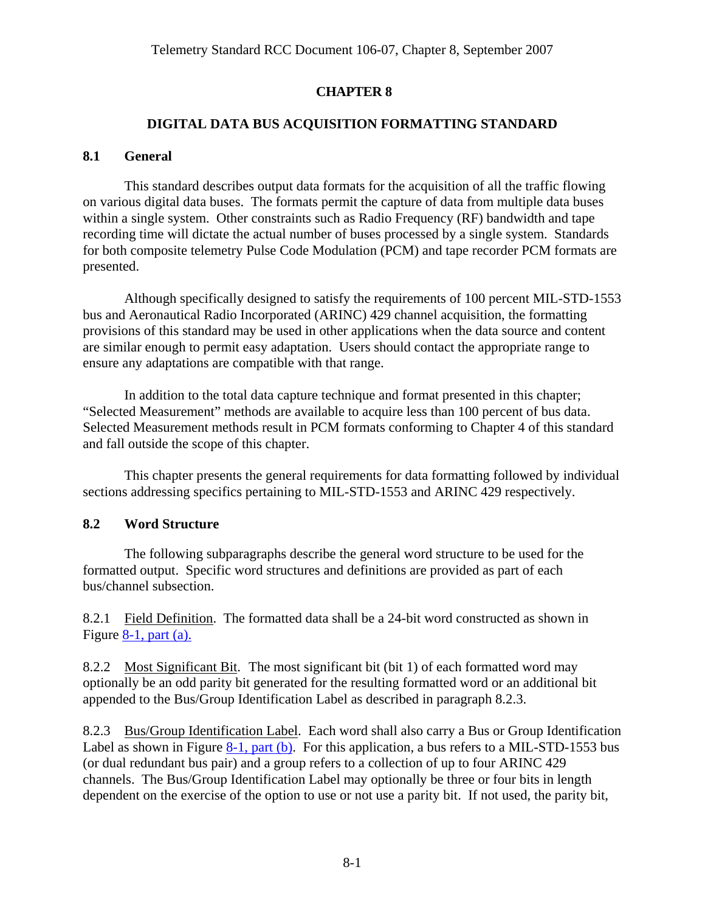### **CHAPTER 8**

## **DIGITAL DATA BUS ACQUISITION FORMATTING STANDARD**

#### <span id="page-2-0"></span>**8.1 General**

 This standard describes output data formats for the acquisition of all the traffic flowing on various digital data buses. The formats permit the capture of data from multiple data buses within a single system. Other constraints such as Radio Frequency (RF) bandwidth and tape recording time will dictate the actual number of buses processed by a single system. Standards for both composite telemetry Pulse Code Modulation (PCM) and tape recorder PCM formats are presented.

 Although specifically designed to satisfy the requirements of 100 percent MIL-STD-1553 bus and Aeronautical Radio Incorporated (ARINC) 429 channel acquisition, the formatting provisions of this standard may be used in other applications when the data source and content are similar enough to permit easy adaptation. Users should contact the appropriate range to ensure any adaptations are compatible with that range.

 In addition to the total data capture technique and format presented in this chapter; "Selected Measurement" methods are available to acquire less than 100 percent of bus data. Selected Measurement methods result in PCM formats conforming to Chapter 4 of this standard and fall outside the scope of this chapter.

 This chapter presents the general requirements for data formatting followed by individual sections addressing specifics pertaining to MIL-STD-1553 and ARINC 429 respectively.

## **8.2 Word Structure**

 The following subparagraphs describe the general word structure to be used for the formatted output. Specific word structures and definitions are provided as part of each bus/channel subsection.

8.2.1 Field Definition. The formatted data shall be a 24-bit word constructed as shown in Figure  $8-1$ , part  $(a)$ .

8.2.2 Most Significant Bit. The most significant bit (bit 1) of each formatted word may optionally be an odd parity bit generated for the resulting formatted word or an additional bit appended to the Bus/Group Identification Label as described in paragraph 8.2.3.

8.2.3 Bus/Group Identification Label. Each word shall also carry a Bus or Group Identification Label as shown in Figure [8-1, part \(b\)](#page-3-0). For this application, a bus refers to a MIL-STD-1553 bus (or dual redundant bus pair) and a group refers to a collection of up to four ARINC 429 channels. The Bus/Group Identification Label may optionally be three or four bits in length dependent on the exercise of the option to use or not use a parity bit. If not used, the parity bit,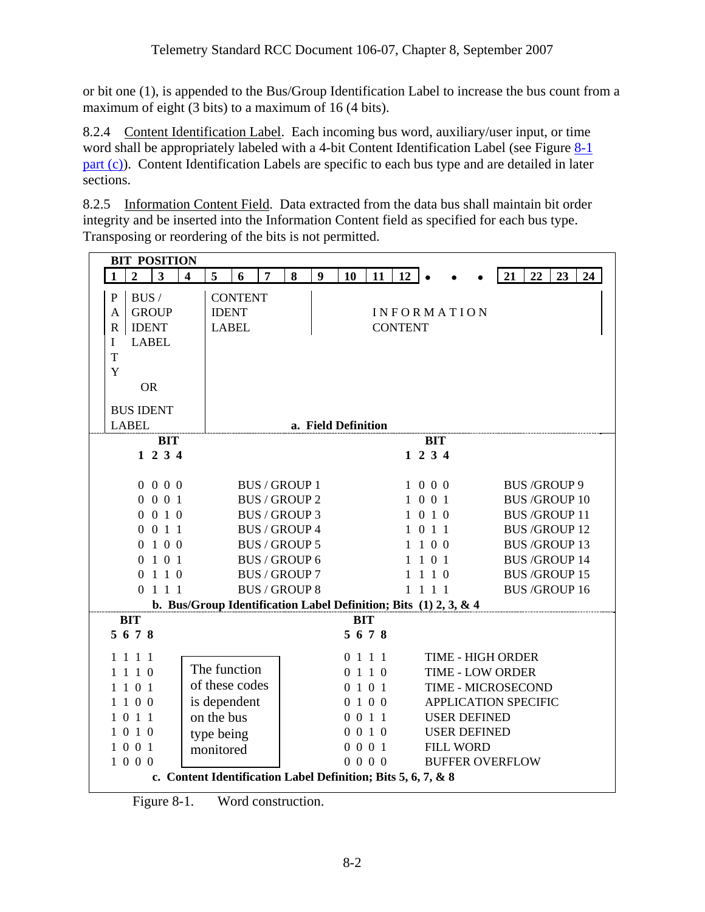<span id="page-3-0"></span>or bit one (1), is appended to the Bus/Group Identification Label to increase the bus count from a maximum of eight (3 bits) to a maximum of 16 (4 bits).

8.2.4 Content Identification Label. Each incoming bus word, auxiliary/user input, or time word shall be appropriately labeled with a 4-bit Content Identification Label (see Figure [8-1](#page-3-0)  [part \(c\)](#page-3-0)). Content Identification Labels are specific to each bus type and are detailed in later sections.

8.2.5 Information Content Field. Data extracted from the data bus shall maintain bit order integrity and be inserted into the Information Content field as specified for each bus type. Transposing or reordering of the bits is not permitted.

|                                                               |                | <b>BIT POSITION</b> |                         |                |                      |   |                                              |                                         |                                                                    |    |                         |                             |                     |                     |                        |  |
|---------------------------------------------------------------|----------------|---------------------|-------------------------|----------------|----------------------|---|----------------------------------------------|-----------------------------------------|--------------------------------------------------------------------|----|-------------------------|-----------------------------|---------------------|---------------------|------------------------|--|
| 1                                                             | $\overline{2}$ | 3                   | $\overline{\mathbf{4}}$ | 5              | 6                    | 7 | 8                                            | 9                                       | 10                                                                 | 11 | 12                      |                             |                     |                     | 21<br>22<br>23<br>24   |  |
| $\mathbf{P}$                                                  | BUS/           |                     |                         |                | <b>CONTENT</b>       |   |                                              |                                         |                                                                    |    |                         |                             |                     |                     |                        |  |
| A                                                             |                | <b>GROUP</b>        |                         | <b>IDENT</b>   |                      |   |                                              |                                         |                                                                    |    | <b>INFORMATION</b>      |                             |                     |                     |                        |  |
| $\mathbb{R}$                                                  | <b>IDENT</b>   |                     |                         | <b>LABEL</b>   |                      |   |                                              |                                         |                                                                    |    | <b>CONTENT</b>          |                             |                     |                     |                        |  |
| I                                                             |                | <b>LABEL</b>        |                         |                |                      |   |                                              |                                         |                                                                    |    |                         |                             |                     |                     |                        |  |
| T                                                             |                |                     |                         |                |                      |   |                                              |                                         |                                                                    |    |                         |                             |                     |                     |                        |  |
| Y                                                             |                |                     |                         |                |                      |   |                                              |                                         |                                                                    |    |                         |                             |                     |                     |                        |  |
|                                                               | <b>OR</b>      |                     |                         |                |                      |   |                                              |                                         |                                                                    |    |                         |                             |                     |                     |                        |  |
|                                                               |                |                     |                         |                |                      |   |                                              |                                         |                                                                    |    |                         |                             |                     |                     |                        |  |
| <b>LABEL</b>                                                  |                | <b>BUS IDENT</b>    |                         |                |                      |   |                                              |                                         | a. Field Definition                                                |    |                         |                             |                     |                     |                        |  |
|                                                               |                | <b>BIT</b>          |                         |                |                      |   |                                              |                                         |                                                                    |    |                         | <b>BIT</b>                  |                     |                     |                        |  |
|                                                               |                | 1 2 3 4             |                         |                |                      |   |                                              |                                         |                                                                    |    |                         | 1 2 3 4                     |                     |                     |                        |  |
|                                                               |                |                     |                         |                |                      |   |                                              |                                         |                                                                    |    |                         |                             |                     |                     |                        |  |
|                                                               |                | $0\ 0\ 0\ 0$        |                         |                |                      |   | <b>BUS / GROUP 1</b>                         |                                         |                                                                    |    |                         | $1\; 0\; 0\; 0$             |                     |                     | <b>BUS/GROUP 9</b>     |  |
|                                                               |                | $0 \t0 \t0 \t1$     |                         |                | <b>BUS / GROUP 2</b> |   |                                              |                                         |                                                                    |    |                         | $1 \t0 \t0 \t1$             |                     |                     | <b>BUS/GROUP 10</b>    |  |
|                                                               |                | $0 \t0 \t1 \t0$     |                         |                |                      |   | <b>BUS / GROUP 3</b>                         |                                         |                                                                    |    |                         |                             | $1 \t0 \t1 \t0$     |                     | <b>BUS/GROUP 11</b>    |  |
|                                                               |                | $0 \t0 \t1 \t1$     |                         |                |                      |   |                                              | $1 \t0 \t1 \t1$<br><b>BUS / GROUP 4</b> |                                                                    |    |                         |                             |                     | <b>BUS/GROUP 12</b> |                        |  |
|                                                               |                | 0100                |                         |                |                      |   | <b>BUS / GROUP 5</b>                         |                                         |                                                                    |    |                         | 1 1 0 0                     |                     |                     | <b>BUS/GROUP 13</b>    |  |
|                                                               |                | 0101                |                         |                |                      |   | 1 1 0 1<br><b>BUS / GROUP 6</b>              |                                         |                                                                    |    |                         |                             |                     |                     | <b>BUS/GROUP 14</b>    |  |
|                                                               |                | 0110                |                         |                |                      |   | <b>BUS / GROUP 7</b><br>$1\quad1\quad0$<br>1 |                                         |                                                                    |    |                         |                             | <b>BUS/GROUP 15</b> |                     |                        |  |
|                                                               |                | 0111                |                         |                |                      |   | <b>BUS / GROUP 8</b>                         |                                         |                                                                    |    |                         | $1 \; 1 \; 1 \; 1$          |                     |                     | <b>BUS/GROUP 16</b>    |  |
|                                                               |                |                     |                         |                |                      |   |                                              |                                         | b. Bus/Group Identification Label Definition; Bits $(1)$ 2, 3, & 4 |    |                         |                             |                     |                     |                        |  |
| <b>BIT</b>                                                    |                |                     |                         |                |                      |   |                                              |                                         | BIT                                                                |    |                         |                             |                     |                     |                        |  |
| 5678                                                          |                |                     |                         |                |                      |   |                                              |                                         | 5678                                                               |    |                         |                             |                     |                     |                        |  |
| 1 1 1 1                                                       |                |                     |                         |                |                      |   |                                              |                                         | 0111                                                               |    |                         |                             |                     |                     | TIME - HIGH ORDER      |  |
|                                                               | 1 1 1 0        |                     |                         | The function   |                      |   |                                              |                                         | 0110                                                               |    | <b>TIME - LOW ORDER</b> |                             |                     |                     |                        |  |
| 1 1 0 1                                                       |                |                     |                         | of these codes |                      |   |                                              |                                         | 0101                                                               |    | TIME - MICROSECOND      |                             |                     |                     |                        |  |
| 1 1 0 0                                                       |                |                     |                         | is dependent   |                      |   |                                              |                                         | 0100                                                               |    |                         | <b>APPLICATION SPECIFIC</b> |                     |                     |                        |  |
| 1 0 1 1                                                       |                |                     |                         | on the bus     |                      |   |                                              | 0 0 1 1                                 |                                                                    |    | <b>USER DEFINED</b>     |                             |                     |                     |                        |  |
|                                                               | 1010           |                     |                         | type being     |                      |   |                                              | 0 0 1 0                                 |                                                                    |    | <b>USER DEFINED</b>     |                             |                     |                     |                        |  |
|                                                               | 1001           |                     |                         | monitored      |                      |   |                                              |                                         | 0001                                                               |    |                         |                             | <b>FILL WORD</b>    |                     |                        |  |
| 1000                                                          |                |                     |                         |                |                      |   |                                              |                                         | 0000                                                               |    |                         |                             |                     |                     | <b>BUFFER OVERFLOW</b> |  |
| c. Content Identification Label Definition; Bits 5, 6, 7, & 8 |                |                     |                         |                |                      |   |                                              |                                         |                                                                    |    |                         |                             |                     |                     |                        |  |

Figure 8-1. Word construction.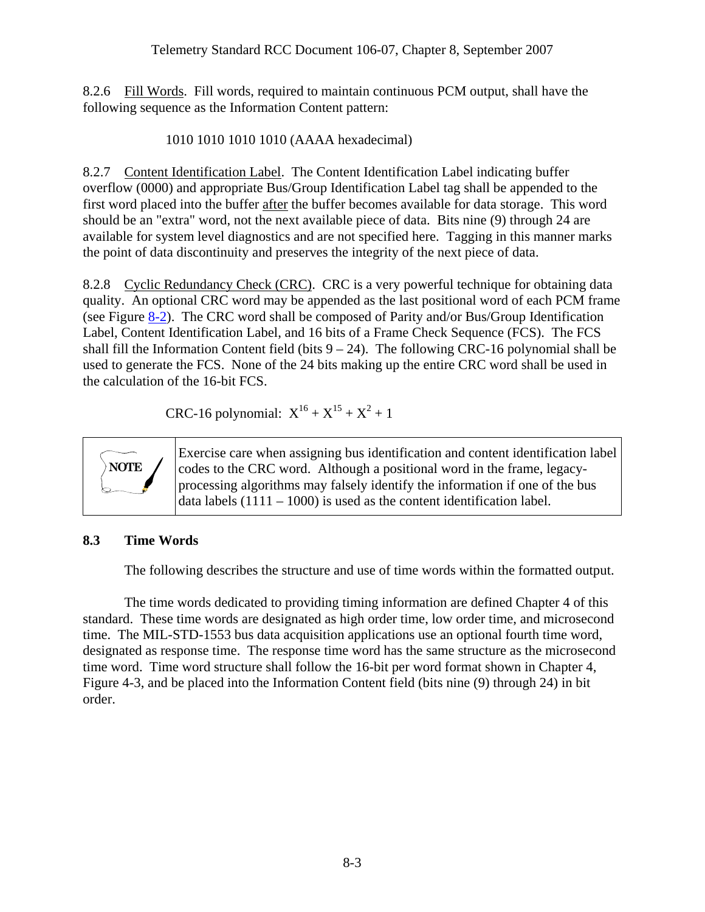<span id="page-4-0"></span>8.2.6 Fill Words. Fill words, required to maintain continuous PCM output, shall have the following sequence as the Information Content pattern:

1010 1010 1010 1010 (AAAA hexadecimal)

8.2.7 Content Identification Label. The Content Identification Label indicating buffer overflow (0000) and appropriate Bus/Group Identification Label tag shall be appended to the first word placed into the buffer after the buffer becomes available for data storage. This word should be an "extra" word, not the next available piece of data. Bits nine (9) through 24 are available for system level diagnostics and are not specified here. Tagging in this manner marks the point of data discontinuity and preserves the integrity of the next piece of data.

8.2.8 Cyclic Redundancy Check (CRC). CRC is a very powerful technique for obtaining data quality. An optional CRC word may be appended as the last positional word of each PCM frame (see Figure [8-2\)](#page-6-0). The CRC word shall be composed of Parity and/or Bus/Group Identification Label, Content Identification Label, and 16 bits of a Frame Check Sequence (FCS). The FCS shall fill the Information Content field (bits  $9 - 24$ ). The following CRC-16 polynomial shall be used to generate the FCS. None of the 24 bits making up the entire CRC word shall be used in the calculation of the 16-bit FCS.

CRC-16 polynomial:  $X^{16} + X^{15} + X^2 + 1$ 



Exercise care when assigning bus identification and content identification label codes to the CRC word. Although a positional word in the frame, legacyprocessing algorithms may falsely identify the information if one of the bus data labels  $(1111 - 1000)$  is used as the content identification label.

## **8.3 Time Words**

The following describes the structure and use of time words within the formatted output.

 The time words dedicated to providing timing information are defined Chapter 4 of this standard. These time words are designated as high order time, low order time, and microsecond time. The MIL-STD-1553 bus data acquisition applications use an optional fourth time word, designated as response time. The response time word has the same structure as the microsecond time word. Time word structure shall follow the 16-bit per word format shown in Chapter 4, Figure 4-3, and be placed into the Information Content field (bits nine (9) through 24) in bit order.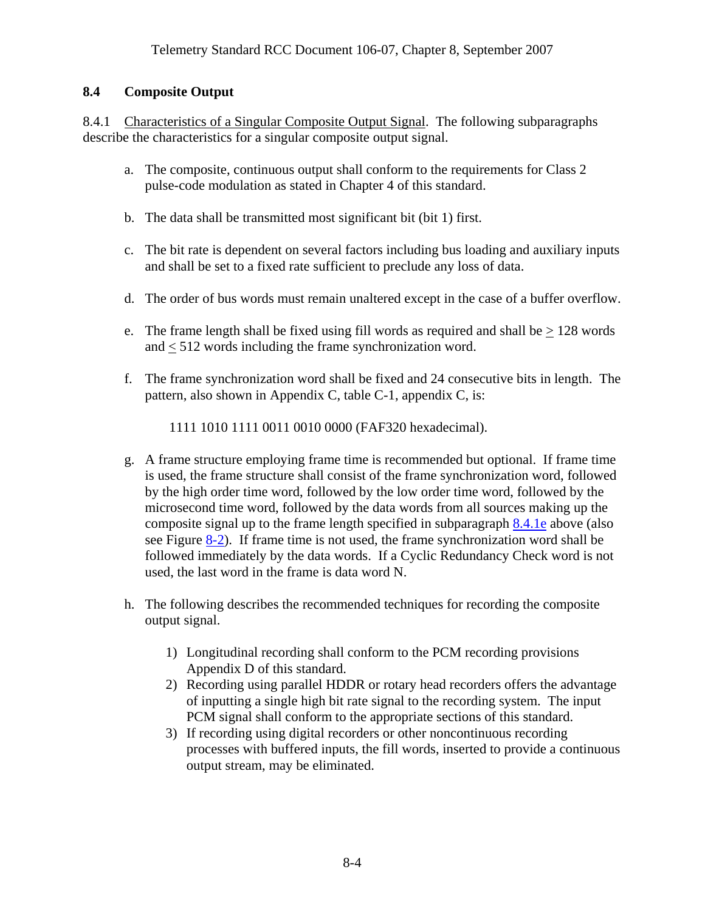#### <span id="page-5-0"></span>**8.4 Composite Output**

8.4.1 Characteristics of a Singular Composite Output Signal. The following subparagraphs describe the characteristics for a singular composite output signal.

- a. The composite, continuous output shall conform to the requirements for Class 2 pulse-code modulation as stated in Chapter 4 of this standard.
- b. The data shall be transmitted most significant bit (bit 1) first.
- c. The bit rate is dependent on several factors including bus loading and auxiliary inputs and shall be set to a fixed rate sufficient to preclude any loss of data.
- d. The order of bus words must remain unaltered except in the case of a buffer overflow.
- e. The frame length shall be fixed using fill words as required and shall be  $> 128$  words and < 512 words including the frame synchronization word.
- f. The frame synchronization word shall be fixed and 24 consecutive bits in length. The pattern, also shown in Appendix C, table C-1, appendix C, is:

1111 1010 1111 0011 0010 0000 (FAF320 hexadecimal).

- g. A frame structure employing frame time is recommended but optional. If frame time is used, the frame structure shall consist of the frame synchronization word, followed by the high order time word, followed by the low order time word, followed by the microsecond time word, followed by the data words from all sources making up the composite signal up to the frame length specified in subparagraph [8.4.1e](#page-5-0) above (also see Figure [8-2\)](#page-6-0). If frame time is not used, the frame synchronization word shall be followed immediately by the data words. If a Cyclic Redundancy Check word is not used, the last word in the frame is data word N.
- h. The following describes the recommended techniques for recording the composite output signal.
	- 1) Longitudinal recording shall conform to the PCM recording provisions Appendix D of this standard.
	- 2) Recording using parallel HDDR or rotary head recorders offers the advantage of inputting a single high bit rate signal to the recording system. The input PCM signal shall conform to the appropriate sections of this standard.
	- 3) If recording using digital recorders or other noncontinuous recording processes with buffered inputs, the fill words, inserted to provide a continuous output stream, may be eliminated.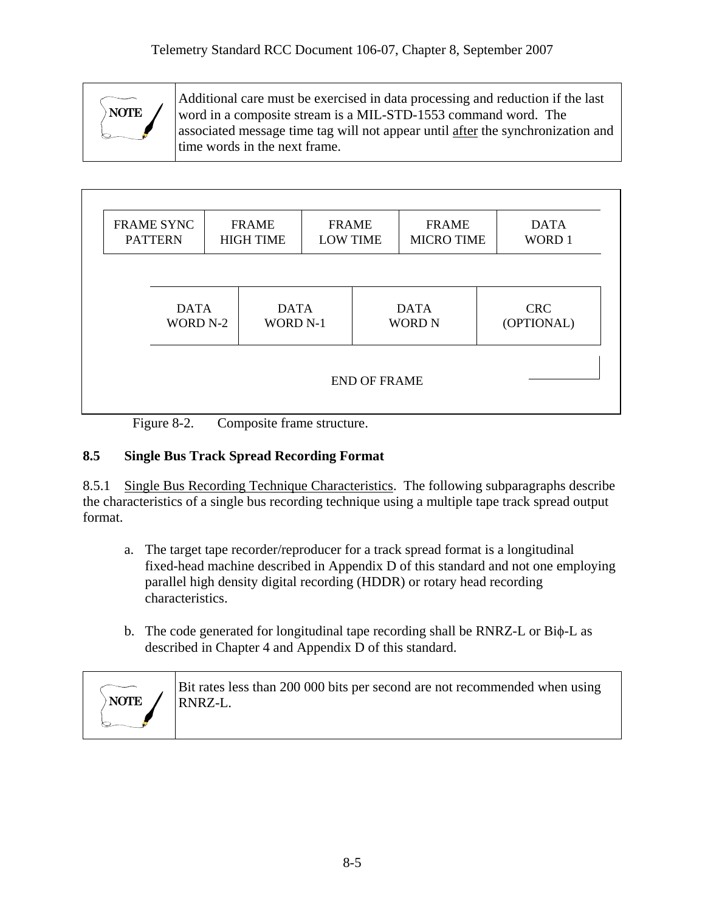<span id="page-6-0"></span>

| Additional care must be exercised in data processing and reduction if the last<br>word in a composite stream is a MIL-STD-1553 command word. The<br><b>NOTE</b><br>associated message time tag will not appear until after the synchronization and<br>$\sim$ $\bullet$<br>time words in the next frame. |
|---------------------------------------------------------------------------------------------------------------------------------------------------------------------------------------------------------------------------------------------------------------------------------------------------------|
|---------------------------------------------------------------------------------------------------------------------------------------------------------------------------------------------------------------------------------------------------------------------------------------------------------|

| <b>FRAME SYNC</b><br><b>PATTERN</b> |  | <b>FRAME</b><br><b>HIGH TIME</b> | <b>FRAME</b><br><b>LOW TIME</b> |  | <b>FRAME</b><br><b>MICRO TIME</b> |  | <b>DATA</b><br>WORD 1    |  |
|-------------------------------------|--|----------------------------------|---------------------------------|--|-----------------------------------|--|--------------------------|--|
| <b>DATA</b><br>WORD N-2             |  | <b>DATA</b><br><b>WORD N-1</b>   |                                 |  | <b>DATA</b><br><b>WORD N</b>      |  | <b>CRC</b><br>(OPTIONAL) |  |
| <b>END OF FRAME</b>                 |  |                                  |                                 |  |                                   |  |                          |  |

Figure 8-2. Composite frame structure.

## **8.5 Single Bus Track Spread Recording Format**

8.5.1 Single Bus Recording Technique Characteristics. The following subparagraphs describe the characteristics of a single bus recording technique using a multiple tape track spread output format.

- a. The target tape recorder/reproducer for a track spread format is a longitudinal fixed-head machine described in Appendix D of this standard and not one employing parallel high density digital recording (HDDR) or rotary head recording characteristics.
- b. The code generated for longitudinal tape recording shall be RNRZ-L or Biφ-L as described in Chapter 4 and Appendix D of this standard.



Bit rates less than 200 000 bits per second are not recommended when using RNRZ-L.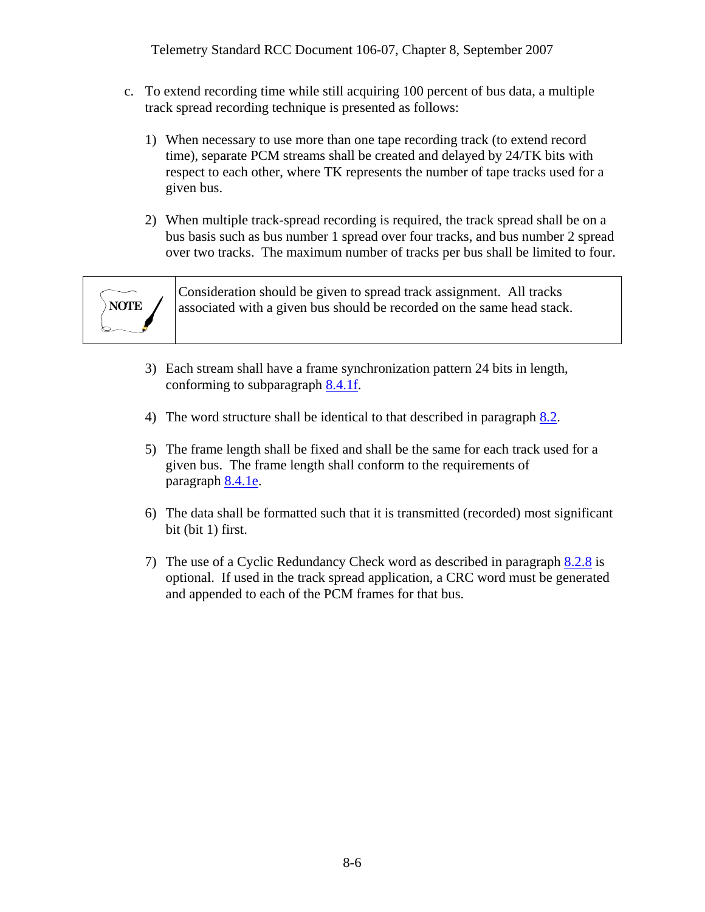Telemetry Standard RCC Document 106-07, Chapter 8, September 2007

- c. To extend recording time while still acquiring 100 percent of bus data, a multiple track spread recording technique is presented as follows:
	- 1) When necessary to use more than one tape recording track (to extend record time), separate PCM streams shall be created and delayed by 24/TK bits with respect to each other, where TK represents the number of tape tracks used for a given bus.
	- 2) When multiple track-spread recording is required, the track spread shall be on a bus basis such as bus number 1 spread over four tracks, and bus number 2 spread over two tracks. The maximum number of tracks per bus shall be limited to four.



Consideration should be given to spread track assignment. All tracks associated with a given bus should be recorded on the same head stack.

- 3) Each stream shall have a frame synchronization pattern 24 bits in length, conforming to subparagraph [8.4.1f.](#page-5-0)
- 4) The word structure shall be identical to that described in paragraph  $8.2$ .
- 5) The frame length shall be fixed and shall be the same for each track used for a given bus. The frame length shall conform to the requirements of paragraph [8.4.1e](#page-5-0).
- 6) The data shall be formatted such that it is transmitted (recorded) most significant bit (bit 1) first.
- 7) The use of a Cyclic Redundancy Check word as described in paragraph [8.2.8](#page-4-0) is optional. If used in the track spread application, a CRC word must be generated and appended to each of the PCM frames for that bus.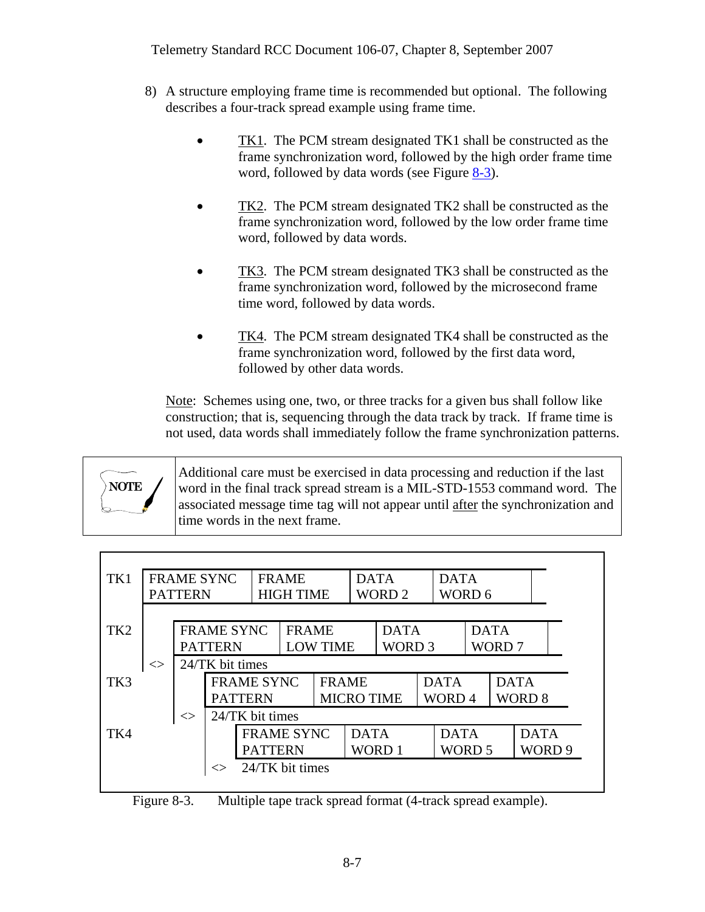- <span id="page-8-0"></span>8) A structure employing frame time is recommended but optional. The following describes a four-track spread example using frame time.
	- TK1. The PCM stream designated TK1 shall be constructed as the frame synchronization word, followed by the high order frame time word, followed by data words (see Figure [8-3](#page-8-0)).
	- TK2. The PCM stream designated TK2 shall be constructed as the frame synchronization word, followed by the low order frame time word, followed by data words.
	- TK3. The PCM stream designated TK3 shall be constructed as the frame synchronization word, followed by the microsecond frame time word, followed by data words.
	- TK4. The PCM stream designated TK4 shall be constructed as the frame synchronization word, followed by the first data word, followed by other data words.

Note: Schemes using one, two, or three tracks for a given bus shall follow like construction; that is, sequencing through the data track by track. If frame time is not used, data words shall immediately follow the frame synchronization patterns.



Additional care must be exercised in data processing and reduction if the last word in the final track spread stream is a MIL-STD-1553 command word. The associated message time tag will not appear until after the synchronization and time words in the next frame.

| TK1             |                   | <b>FRAME SYNC</b><br><b>PATTERN</b> |                                     |              | <b>FRAME</b><br><b>HIGH TIME</b> |                 |                                            | <b>DATA</b><br>WORD <sub>2</sub> |  | <b>DATA</b><br>WORD 6            |                       |             |  |
|-----------------|-------------------|-------------------------------------|-------------------------------------|--------------|----------------------------------|-----------------|--------------------------------------------|----------------------------------|--|----------------------------------|-----------------------|-------------|--|
|                 |                   |                                     |                                     |              |                                  |                 |                                            |                                  |  |                                  |                       |             |  |
| TK <sub>2</sub> |                   | <b>FRAME SYNC</b><br><b>PATTERN</b> |                                     |              | <b>FRAME</b>                     | <b>LOW TIME</b> |                                            | <b>DATA</b><br>WORD <sub>3</sub> |  |                                  | <b>DATA</b><br>WORD 7 |             |  |
|                 | $\Leftrightarrow$ | 24/TK bit times                     |                                     |              |                                  |                 |                                            |                                  |  |                                  |                       |             |  |
| TK3             |                   |                                     | <b>FRAME SYNC</b><br><b>PATTERN</b> | <b>FRAME</b> |                                  |                 | <b>DATA</b><br><b>MICRO TIME</b><br>WORD 4 |                                  |  | <b>DATA</b><br>WORD <sub>8</sub> |                       |             |  |
|                 |                   | $\Leftrightarrow$                   | 24/TK bit times                     |              |                                  |                 |                                            |                                  |  |                                  |                       |             |  |
| TK4             |                   |                                     |                                     |              | <b>FRAME SYNC</b>                |                 |                                            | <b>DATA</b>                      |  | <b>DATA</b>                      |                       | <b>DATA</b> |  |
|                 |                   |                                     |                                     |              | <b>PATTERN</b>                   |                 | WORD 1                                     |                                  |  | WORD 5                           |                       | WORD 9      |  |
|                 |                   |                                     |                                     |              | 24/TK bit times                  |                 |                                            |                                  |  |                                  |                       |             |  |

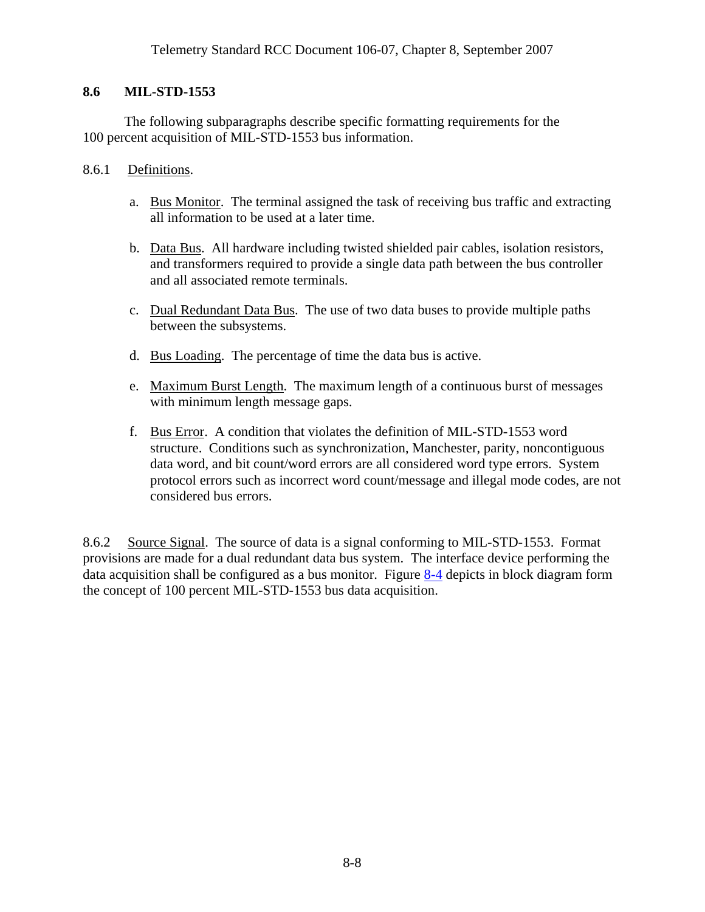#### <span id="page-9-0"></span>**8.6 MIL-STD-1553**

 The following subparagraphs describe specific formatting requirements for the 100 percent acquisition of MIL-STD-1553 bus information.

- 8.6.1 Definitions.
	- a. Bus Monitor. The terminal assigned the task of receiving bus traffic and extracting all information to be used at a later time.
	- b. Data Bus. All hardware including twisted shielded pair cables, isolation resistors, and transformers required to provide a single data path between the bus controller and all associated remote terminals.
	- c. Dual Redundant Data Bus. The use of two data buses to provide multiple paths between the subsystems.
	- d. Bus Loading. The percentage of time the data bus is active.
	- e. Maximum Burst Length. The maximum length of a continuous burst of messages with minimum length message gaps.
	- f. Bus Error. A condition that violates the definition of MIL-STD-1553 word structure. Conditions such as synchronization, Manchester, parity, noncontiguous data word, and bit count/word errors are all considered word type errors. System protocol errors such as incorrect word count/message and illegal mode codes, are not considered bus errors.

8.6.2 Source Signal. The source of data is a signal conforming to MIL-STD-1553. Format provisions are made for a dual redundant data bus system. The interface device performing the data acquisition shall be configured as a bus monitor. Figure [8-4](#page-10-0) depicts in block diagram form the concept of 100 percent MIL-STD-1553 bus data acquisition.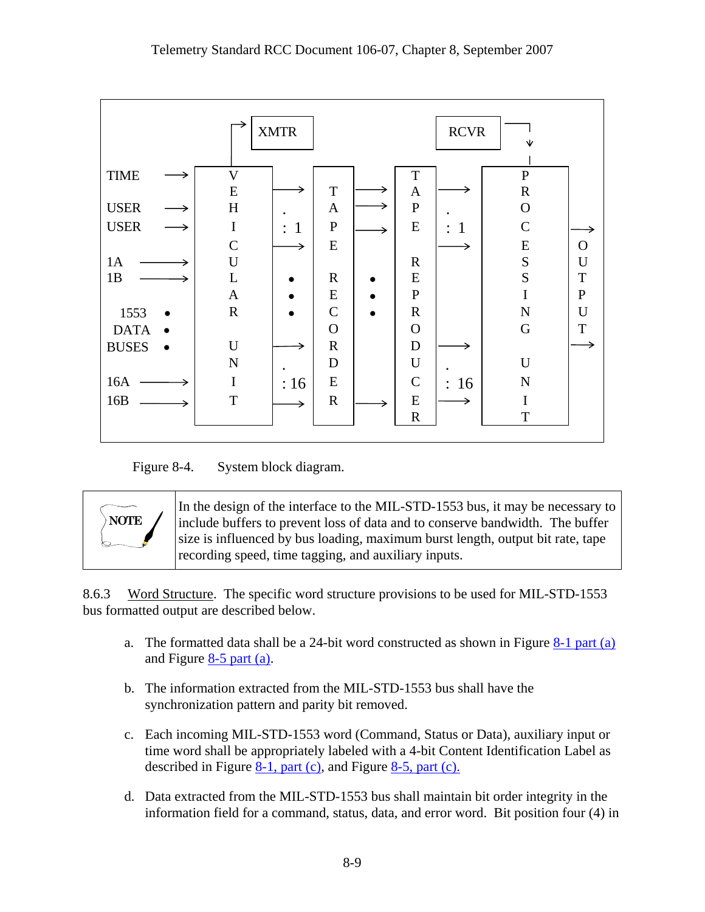<span id="page-10-0"></span>

|              |              | <b>XMTR</b>    |              |   |              | <b>RCVR</b>          | Ψ           |              |
|--------------|--------------|----------------|--------------|---|--------------|----------------------|-------------|--------------|
| <b>TIME</b>  | $\mathbf V$  |                |              |   | $\mathbf T$  |                      | ${\bf P}$   |              |
|              | E            |                | T            |   | $\mathbf{A}$ |                      | $\mathbf R$ |              |
| <b>USER</b>  | H            |                | $\mathbf{A}$ | → | $\mathbf{P}$ |                      | $\mathbf O$ |              |
| <b>USER</b>  | $\bf I$      | 1<br>$\bullet$ | ${\bf P}$    | → | E            | 1<br>$\bullet$       | $\mathbf C$ |              |
|              | $\mathbf C$  | →              | E            |   |              |                      | ${\bf E}$   | $\mathbf{O}$ |
| 1A           | ${\bf U}$    |                |              |   | $\mathbf R$  |                      | ${\bf S}$   | $\mathbf U$  |
| 1B           | L            | $\bullet$      | $\mathbf R$  |   | E            |                      | S           | $\mathbf T$  |
|              | $\mathbf{A}$ |                | E            |   | $\mathbf{P}$ |                      | $\mathbf I$ | ${\bf P}$    |
| 1553         | $\mathbf R$  |                | $\mathbf C$  |   | $\mathbf R$  |                      | ${\bf N}$   | U            |
| <b>DATA</b>  |              |                | $\mathbf{O}$ |   | $\mathbf{O}$ |                      | $\mathbf G$ | $\mathbf T$  |
| <b>BUSES</b> | U            | →              | $\mathbf R$  |   | D            |                      |             |              |
|              | $\mathbf N$  |                | D            |   | U            |                      | $\mathbf U$ |              |
| 16A          | $\mathbf I$  | :16            | E            |   | $\mathbf C$  | 16<br>$\ddot{\cdot}$ | ${\bf N}$   |              |
| 16B          | $\mathbf T$  |                | $\mathbb{R}$ | → | ${\bf E}$    |                      | I           |              |
|              |              |                |              |   | ${\bf R}$    |                      | $\mathbf T$ |              |

Figure 8-4. System block diagram.



In the design of the interface to the MIL-STD-1553 bus, it may be necessary to include buffers to prevent loss of data and to conserve bandwidth. The buffer size is influenced by bus loading, maximum burst length, output bit rate, tape recording speed, time tagging, and auxiliary inputs.

8.6.3 Word Structure. The specific word structure provisions to be used for MIL-STD-1553 bus formatted output are described below.

- a. The formatted data shall be a 24-bit word constructed as shown in Figure [8-1 part \(a\)](#page-3-0) and Figure  $8-5$  part (a).
- b. The information extracted from the MIL-STD-1553 bus shall have the synchronization pattern and parity bit removed.
- c. Each incoming MIL-STD-1553 word (Command, Status or Data), auxiliary input or time word shall be appropriately labeled with a 4-bit Content Identification Label as described in Figure  $8-1$ , part (c), and Figure  $8-5$ , part (c).
- d. Data extracted from the MIL-STD-1553 bus shall maintain bit order integrity in the information field for a command, status, data, and error word. Bit position four (4) in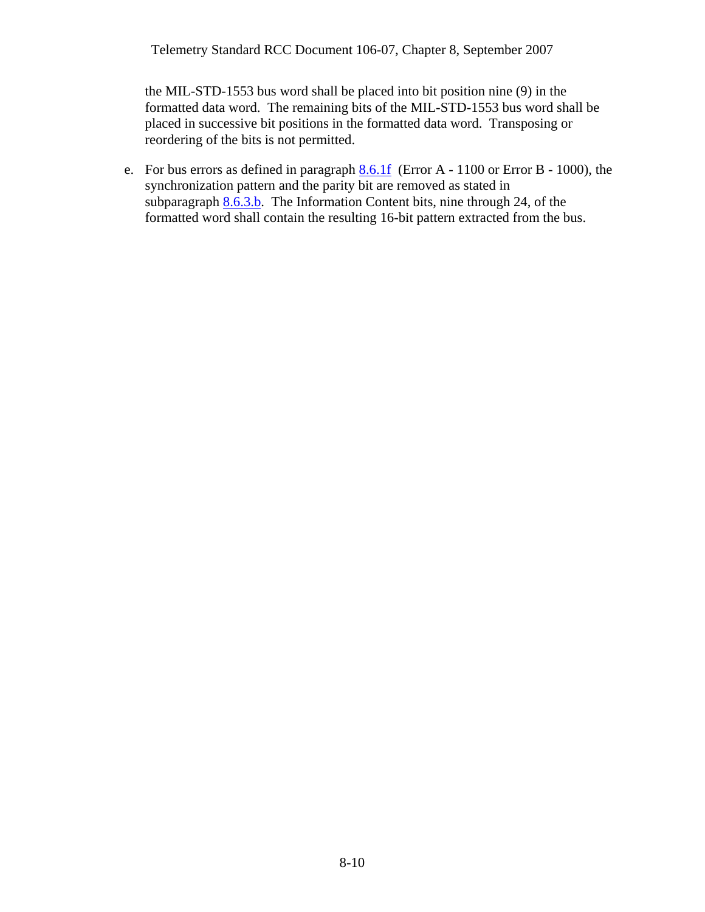the MIL-STD-1553 bus word shall be placed into bit position nine (9) in the formatted data word. The remaining bits of the MIL-STD-1553 bus word shall be placed in successive bit positions in the formatted data word. Transposing or reordering of the bits is not permitted.

e. For bus errors as defined in paragraph  $8.6.1f$  (Error A - 1100 or Error B - 1000), the synchronization pattern and the parity bit are removed as stated in subparagraph  $8.6.3.b$ . The Information Content bits, nine through 24, of the formatted word shall contain the resulting 16-bit pattern extracted from the bus.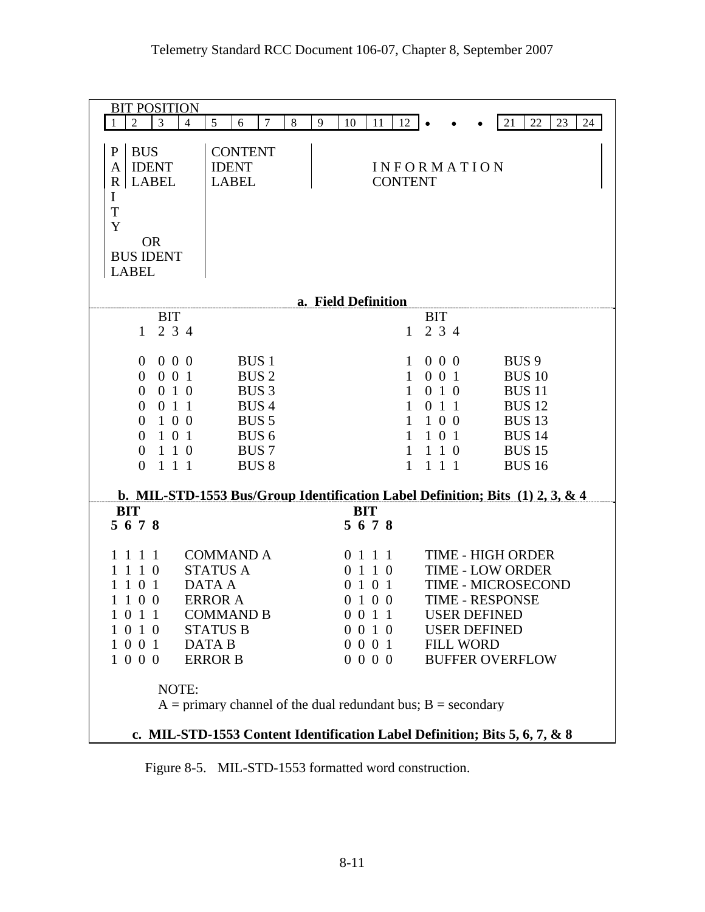<span id="page-12-0"></span>

| <b>BIT POSITION</b><br>3<br>5<br>$\overline{2}$<br>$\overline{4}$                                                                                                                                                                               | 8<br>7<br>9<br>6                                                                                                                                    | 10<br>11<br>12                                                                           | 22<br>23<br>21<br>24                                                                                                                                                                                                                        |  |  |  |  |  |  |
|-------------------------------------------------------------------------------------------------------------------------------------------------------------------------------------------------------------------------------------------------|-----------------------------------------------------------------------------------------------------------------------------------------------------|------------------------------------------------------------------------------------------|---------------------------------------------------------------------------------------------------------------------------------------------------------------------------------------------------------------------------------------------|--|--|--|--|--|--|
| <b>BUS</b><br>$\mathbf{P}$<br><b>IDENT</b><br>A<br>LABEL<br>R <sub>1</sub><br>I<br>T<br>Y<br><b>OR</b><br><b>BUS IDENT</b><br><b>LABEL</b>                                                                                                      | <b>CONTENT</b><br><b>IDENT</b><br><b>LABEL</b>                                                                                                      | <b>CONTENT</b>                                                                           | <b>INFORMATION</b>                                                                                                                                                                                                                          |  |  |  |  |  |  |
|                                                                                                                                                                                                                                                 |                                                                                                                                                     | a. Field Definition                                                                      |                                                                                                                                                                                                                                             |  |  |  |  |  |  |
| <b>BIT</b><br>2 3 4<br>$\mathbf{1}$                                                                                                                                                                                                             |                                                                                                                                                     |                                                                                          | <b>BIT</b><br>2 3 4<br>$\mathbf{1}$                                                                                                                                                                                                         |  |  |  |  |  |  |
| $0\,0\,0$<br>$\overline{0}$<br>$\overline{0}$<br>$0\;0\;1$<br>010<br>$\overline{0}$<br>$0 \; 1 \; 1$<br>$\boldsymbol{0}$<br>1 0 0<br>$\overline{0}$<br>$1 \t0 \t1$<br>$\overline{0}$<br>$1\;1\;0$<br>$\overline{0}$<br>$\overline{0}$<br>1 1 1  | BUS <sub>1</sub><br>BUS <sub>2</sub><br>BUS <sub>3</sub><br>BUS <sub>4</sub><br>BUS <sub>5</sub><br>BUS <sub>6</sub><br><b>BUS7</b><br><b>BUS 8</b> | 1<br>1<br>$\mathbf{1}$<br>1<br>$\mathbf{1}$<br>1<br>1<br>1                               | $0\,0\,0$<br>BUS <sub>9</sub><br>$0\;0\;1$<br><b>BUS 10</b><br>010<br><b>BUS</b> 11<br>011<br><b>BUS 12</b><br>$1\ 0\ 0$<br><b>BUS 13</b><br>$1 \t0 \t1$<br><b>BUS 14</b><br>$1\;1\;0$<br><b>BUS 15</b><br>$1\quad1\quad1$<br><b>BUS 16</b> |  |  |  |  |  |  |
|                                                                                                                                                                                                                                                 |                                                                                                                                                     |                                                                                          | b. MIL-STD-1553 Bus/Group Identification Label Definition; Bits (1) 2, 3, & 4                                                                                                                                                               |  |  |  |  |  |  |
| <b>BIT</b><br>5678                                                                                                                                                                                                                              |                                                                                                                                                     | <b>BIT</b><br>5678                                                                       |                                                                                                                                                                                                                                             |  |  |  |  |  |  |
| <b>COMMAND A</b><br>1 1 1 1<br><b>STATUS A</b><br>$1\;1\;0$<br>1<br>$1\,0$<br>$\overline{1}$<br>DATA A<br>1 1 0 0<br><b>ERROR A</b><br>1 0 1 1<br><b>COMMAND B</b><br>1010<br><b>STATUS B</b><br>DATA B<br>1 0 0 1<br>1 0 0 0<br><b>ERROR B</b> |                                                                                                                                                     | 0111<br>0110<br>0101<br>0100<br>0 0 1 1<br>0 0 1 0<br>$0\; 0\; 0\; 1$<br>$0\; 0\; 0\; 0$ | <b>TIME - HIGH ORDER</b><br><b>TIME - LOW ORDER</b><br>TIME - MICROSECOND<br><b>TIME - RESPONSE</b><br><b>USER DEFINED</b><br><b>USER DEFINED</b><br><b>FILL WORD</b><br><b>BUFFER OVERFLOW</b>                                             |  |  |  |  |  |  |
| NOTE:<br>$A =$ primary channel of the dual redundant bus; $B =$ secondary<br>c. MIL-STD-1553 Content Identification Label Definition; Bits 5, 6, 7, & 8                                                                                         |                                                                                                                                                     |                                                                                          |                                                                                                                                                                                                                                             |  |  |  |  |  |  |

Figure 8-5. MIL-STD-1553 formatted word construction.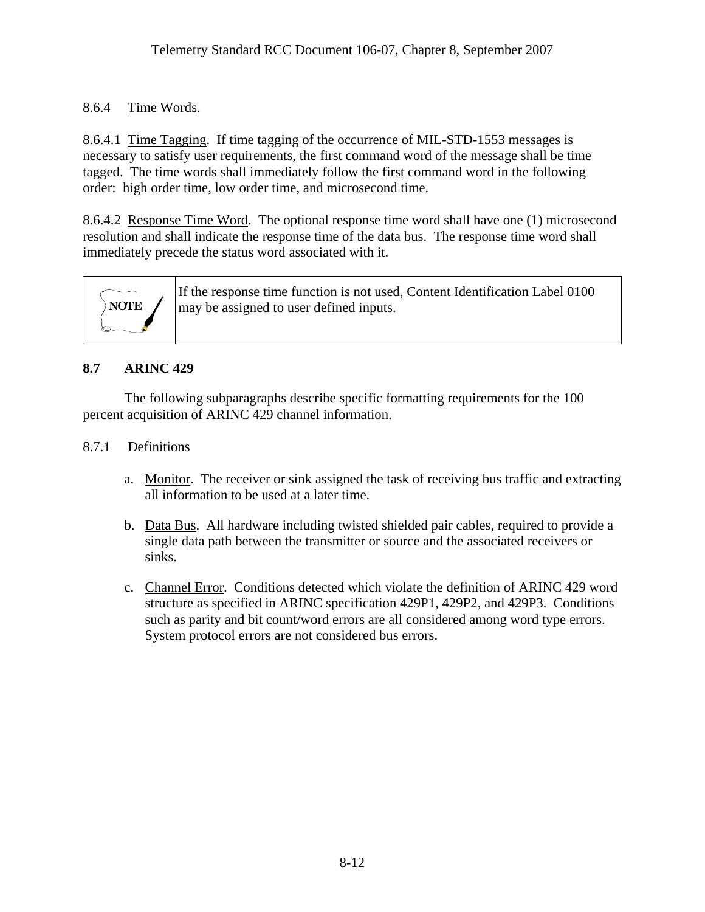## <span id="page-13-0"></span>8.6.4 Time Words.

8.6.4.1 Time Tagging. If time tagging of the occurrence of MIL-STD-1553 messages is necessary to satisfy user requirements, the first command word of the message shall be time tagged. The time words shall immediately follow the first command word in the following order: high order time, low order time, and microsecond time.

8.6.4.2 Response Time Word. The optional response time word shall have one (1) microsecond resolution and shall indicate the response time of the data bus. The response time word shall immediately precede the status word associated with it.



## **8.7 ARINC 429**

 The following subparagraphs describe specific formatting requirements for the 100 percent acquisition of ARINC 429 channel information.

## 8.7.1 Definitions

- a. Monitor. The receiver or sink assigned the task of receiving bus traffic and extracting all information to be used at a later time.
- b. Data Bus. All hardware including twisted shielded pair cables, required to provide a single data path between the transmitter or source and the associated receivers or sinks.
- c. Channel Error. Conditions detected which violate the definition of ARINC 429 word structure as specified in ARINC specification 429P1, 429P2, and 429P3. Conditions such as parity and bit count/word errors are all considered among word type errors. System protocol errors are not considered bus errors.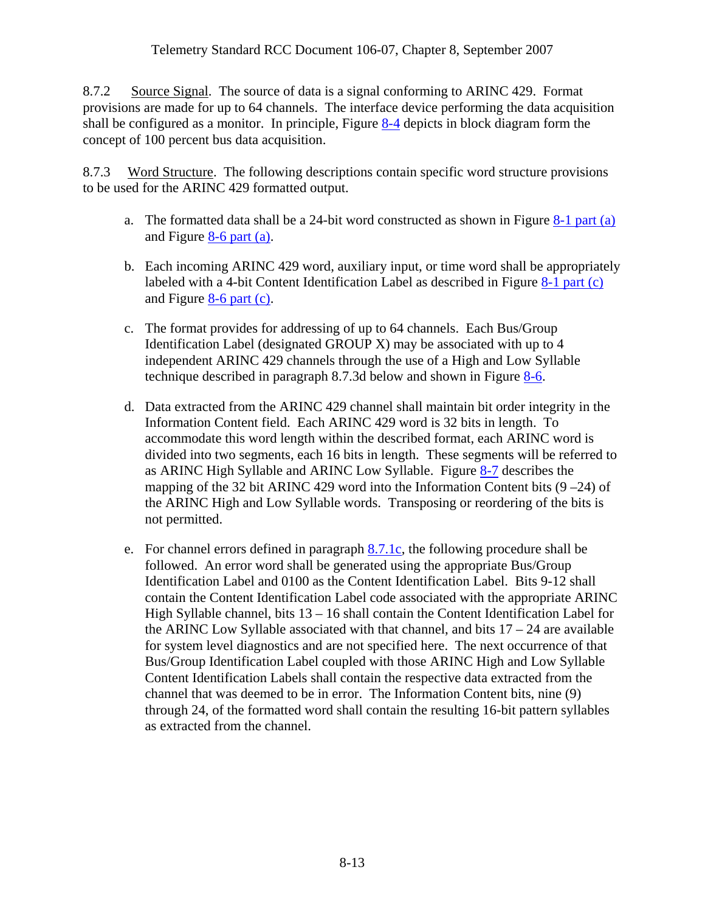#### Telemetry Standard RCC Document 106-07, Chapter 8, September 2007

8.7.2 Source Signal. The source of data is a signal conforming to ARINC 429. Format provisions are made for up to 64 channels. The interface device performing the data acquisition shall be configured as a monitor. In principle, Figure  $8-4$  depicts in block diagram form the concept of 100 percent bus data acquisition.

8.7.3 Word Structure. The following descriptions contain specific word structure provisions to be used for the ARINC 429 formatted output.

- a. The formatted data shall be a 24-bit word constructed as shown in Figure [8-1 part \(a\)](#page-3-0) and Figure [8-6 part \(a\).](#page-15-0)
- b. Each incoming ARINC 429 word, auxiliary input, or time word shall be appropriately labeled with a 4-bit Content Identification Label as described in Figure [8-1 part \(c\)](#page-3-0) and Figure [8-6 part \(c\).](#page-15-0)
- c. The format provides for addressing of up to 64 channels. Each Bus/Group Identification Label (designated GROUP X) may be associated with up to 4 independent ARINC 429 channels through the use of a High and Low Syllable technique described in paragraph 8.7.3d below and shown in Figure [8-6](#page-15-0).
- d. Data extracted from the ARINC 429 channel shall maintain bit order integrity in the Information Content field. Each ARINC 429 word is 32 bits in length. To accommodate this word length within the described format, each ARINC word is divided into two segments, each 16 bits in length. These segments will be referred to as ARINC High Syllable and ARINC Low Syllable. Figure [8-7](#page-16-0) describes the mapping of the 32 bit ARINC 429 word into the Information Content bits  $(9 - 24)$  of the ARINC High and Low Syllable words. Transposing or reordering of the bits is not permitted.
- e. For channel errors defined in paragraph  $8.7.1c$ , the following procedure shall be followed. An error word shall be generated using the appropriate Bus/Group Identification Label and 0100 as the Content Identification Label. Bits 9-12 shall contain the Content Identification Label code associated with the appropriate ARINC High Syllable channel, bits  $13 - 16$  shall contain the Content Identification Label for the ARINC Low Syllable associated with that channel, and bits  $17 - 24$  are available for system level diagnostics and are not specified here. The next occurrence of that Bus/Group Identification Label coupled with those ARINC High and Low Syllable Content Identification Labels shall contain the respective data extracted from the channel that was deemed to be in error. The Information Content bits, nine (9) through 24, of the formatted word shall contain the resulting 16-bit pattern syllables as extracted from the channel.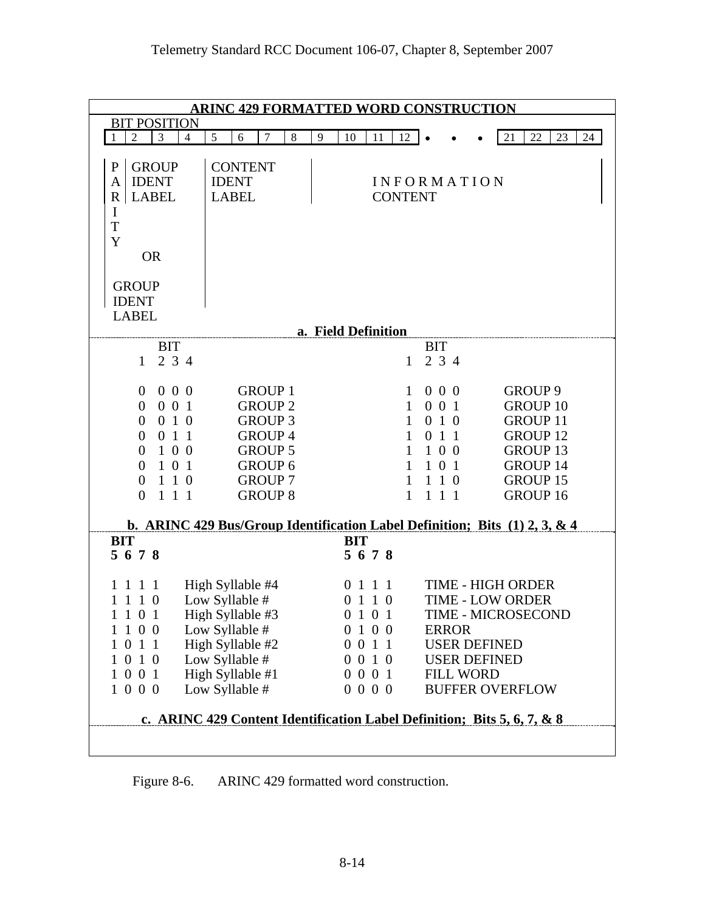<span id="page-15-0"></span>

| <b>ARINC 429 FORMATTED WORD CONSTRUCTION</b>                                                                                                                                                                                                                                                                                                                                                         |                                                                                                                                                                                                                                                                                                                                                                                                           |  |  |  |  |  |  |  |  |
|------------------------------------------------------------------------------------------------------------------------------------------------------------------------------------------------------------------------------------------------------------------------------------------------------------------------------------------------------------------------------------------------------|-----------------------------------------------------------------------------------------------------------------------------------------------------------------------------------------------------------------------------------------------------------------------------------------------------------------------------------------------------------------------------------------------------------|--|--|--|--|--|--|--|--|
| <b>BIT POSITION</b>                                                                                                                                                                                                                                                                                                                                                                                  |                                                                                                                                                                                                                                                                                                                                                                                                           |  |  |  |  |  |  |  |  |
| 3<br>$\overline{4}$<br>5<br>$\overline{2}$<br>$\overline{7}$<br>$\,8\,$<br>6                                                                                                                                                                                                                                                                                                                         | 21<br>9<br>10<br><sup>11</sup><br>12<br>22<br>23<br>24                                                                                                                                                                                                                                                                                                                                                    |  |  |  |  |  |  |  |  |
| <b>GROUP</b><br><b>CONTENT</b><br>P<br><b>IDENT</b><br><b>IDENT</b><br>A<br>R <sub>1</sub><br><b>LABEL</b><br><b>LABEL</b><br>I<br>T<br>Y<br><b>OR</b><br><b>GROUP</b><br><b>IDENT</b>                                                                                                                                                                                                               | <b>INFORMATION</b><br><b>CONTENT</b>                                                                                                                                                                                                                                                                                                                                                                      |  |  |  |  |  |  |  |  |
| <b>LABEL</b>                                                                                                                                                                                                                                                                                                                                                                                         | a. Field Definition                                                                                                                                                                                                                                                                                                                                                                                       |  |  |  |  |  |  |  |  |
| <b>BIT</b>                                                                                                                                                                                                                                                                                                                                                                                           | <b>BIT</b>                                                                                                                                                                                                                                                                                                                                                                                                |  |  |  |  |  |  |  |  |
| 2 3 4<br>$\mathbf{1}$                                                                                                                                                                                                                                                                                                                                                                                | 2 3 4<br>$\mathbf{1}$                                                                                                                                                                                                                                                                                                                                                                                     |  |  |  |  |  |  |  |  |
| $0\,0\,0$<br><b>GROUP 1</b><br>$\overline{0}$<br>$0\;\;0\;\;1$<br><b>GROUP 2</b><br>$\overline{0}$<br>010<br><b>GROUP 3</b><br>$\overline{0}$<br><b>GROUP 4</b><br>011<br>$\overline{0}$<br>$1\ 0\ 0$<br><b>GROUP 5</b><br>$\overline{0}$<br>$\overline{0}$<br>$1 \t0 \t1$<br><b>GROUP 6</b><br>$\overline{0}$<br>$1\ 1\ 0$<br><b>GROUP 7</b><br>$1\quad1\quad1$<br>$\overline{0}$<br><b>GROUP 8</b> | $0\,0\,0$<br>GROUP <sub>9</sub><br>$\mathbf{1}$<br>$0 \t0 \t1$<br><b>GROUP 10</b><br>$\mathbf{1}$<br>010<br><b>GROUP 11</b><br>1<br>011<br><b>GROUP 12</b><br>1<br>$1\ 0\ 0$<br><b>GROUP 13</b><br>1<br><b>GROUP 14</b><br>1<br>$1 \t0 \t1$<br>$1\;1\;0$<br><b>GROUP 15</b><br>1<br>$1\quad1\quad1$<br><b>GROUP 16</b><br>1<br>b. ARINC 429 Bus/Group Identification Label Definition; Bits (1) 2, 3, & 4 |  |  |  |  |  |  |  |  |
| <b>BIT</b>                                                                                                                                                                                                                                                                                                                                                                                           | <b>BIT</b>                                                                                                                                                                                                                                                                                                                                                                                                |  |  |  |  |  |  |  |  |
| 5678                                                                                                                                                                                                                                                                                                                                                                                                 | 5678                                                                                                                                                                                                                                                                                                                                                                                                      |  |  |  |  |  |  |  |  |
| High Syllable #4<br>111<br>Low Syllable #<br>1110<br>1 1 0 1<br>High Syllable #3<br>1 1 0 0<br>Low Syllable #<br>1 0 1 1<br>High Syllable #2<br>Low Syllable #<br>1010<br>1 0 0 1<br>High Syllable #1<br>1000<br>Low Syllable #                                                                                                                                                                      | <b>TIME - HIGH ORDER</b><br>0 1 1 1<br>0110<br><b>TIME - LOW ORDER</b><br>0101<br>TIME - MICROSECOND<br>0100<br><b>ERROR</b><br>0 0 1 1<br><b>USER DEFINED</b><br>0 0 1 0<br><b>USER DEFINED</b><br>0 0 0 1<br><b>FILL WORD</b><br>0000<br><b>BUFFER OVERFLOW</b><br>c. ARINC 429 Content Identification Label Definition; Bits 5, 6, 7, & 8                                                              |  |  |  |  |  |  |  |  |
|                                                                                                                                                                                                                                                                                                                                                                                                      |                                                                                                                                                                                                                                                                                                                                                                                                           |  |  |  |  |  |  |  |  |

Figure 8-6. ARINC 429 formatted word construction.